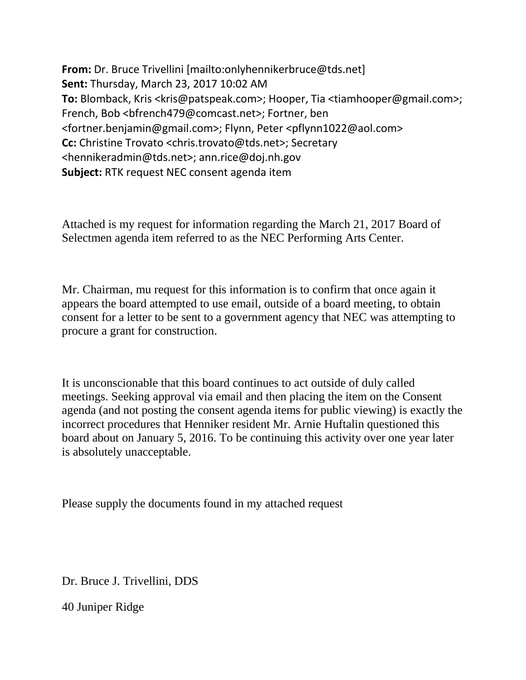**From:** Dr. Bruce Trivellini [mailto:onlyhennikerbruce@tds.net] **Sent:** Thursday, March 23, 2017 10:02 AM **To:** Blomback, Kris <kris@patspeak.com>; Hooper, Tia <tiamhooper@gmail.com>; French, Bob <bfrench479@comcast.net>; Fortner, ben <fortner.benjamin@gmail.com>; Flynn, Peter <pflynn1022@aol.com> **Cc:** Christine Trovato <chris.trovato@tds.net>; Secretary <hennikeradmin@tds.net>; ann.rice@doj.nh.gov **Subject:** RTK request NEC consent agenda item

Attached is my request for information regarding the March 21, 2017 Board of Selectmen agenda item referred to as the NEC Performing Arts Center.

Mr. Chairman, mu request for this information is to confirm that once again it appears the board attempted to use email, outside of a board meeting, to obtain consent for a letter to be sent to a government agency that NEC was attempting to procure a grant for construction.

It is unconscionable that this board continues to act outside of duly called meetings. Seeking approval via email and then placing the item on the Consent agenda (and not posting the consent agenda items for public viewing) is exactly the incorrect procedures that Henniker resident Mr. Arnie Huftalin questioned this board about on January 5, 2016. To be continuing this activity over one year later is absolutely unacceptable.

Please supply the documents found in my attached request

Dr. Bruce J. Trivellini, DDS

40 Juniper Ridge